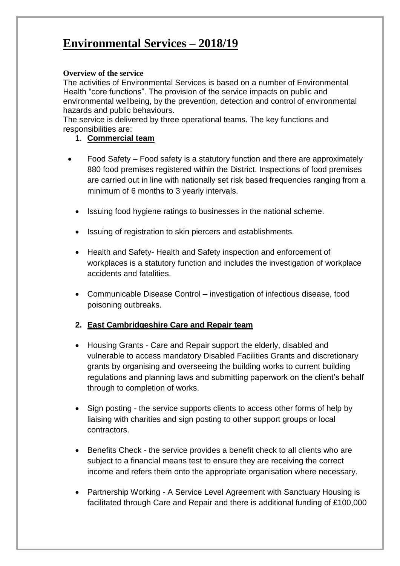## **Environmental Services – 2018/19**

### **Overview of the service**

The activities of Environmental Services is based on a number of Environmental Health "core functions". The provision of the service impacts on public and environmental wellbeing, by the prevention, detection and control of environmental hazards and public behaviours.

The service is delivered by three operational teams. The key functions and responsibilities are:

- 1. **Commercial team**
- Food Safety Food safety is a statutory function and there are approximately 880 food premises registered within the District. Inspections of food premises are carried out in line with nationally set risk based frequencies ranging from a minimum of 6 months to 3 yearly intervals.
	- Issuing food hygiene ratings to businesses in the national scheme.
	- Issuing of registration to skin piercers and establishments.
	- Health and Safety- Health and Safety inspection and enforcement of workplaces is a statutory function and includes the investigation of workplace accidents and fatalities.
	- Communicable Disease Control investigation of infectious disease, food poisoning outbreaks.

### **2. East Cambridgeshire Care and Repair team**

- Housing Grants Care and Repair support the elderly, disabled and vulnerable to access mandatory Disabled Facilities Grants and discretionary grants by organising and overseeing the building works to current building regulations and planning laws and submitting paperwork on the client's behalf through to completion of works.
- Sign posting the service supports clients to access other forms of help by liaising with charities and sign posting to other support groups or local contractors.
- Benefits Check the service provides a benefit check to all clients who are subject to a financial means test to ensure they are receiving the correct income and refers them onto the appropriate organisation where necessary.
- Partnership Working A Service Level Agreement with Sanctuary Housing is facilitated through Care and Repair and there is additional funding of £100,000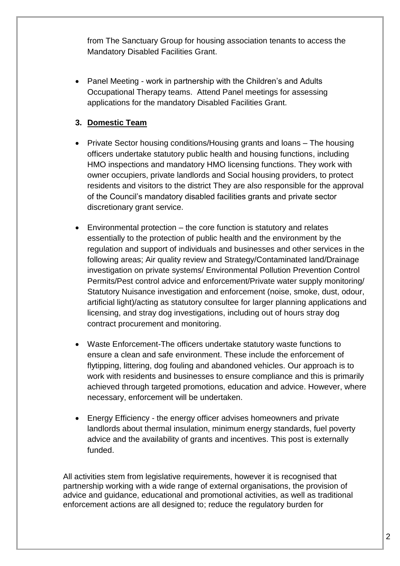from The Sanctuary Group for housing association tenants to access the Mandatory Disabled Facilities Grant.

• Panel Meeting - work in partnership with the Children's and Adults Occupational Therapy teams. Attend Panel meetings for assessing applications for the mandatory Disabled Facilities Grant.

### **3. Domestic Team**

- Private Sector housing conditions/Housing grants and loans The housing officers undertake statutory public health and housing functions, including HMO inspections and mandatory HMO licensing functions. They work with owner occupiers, private landlords and Social housing providers, to protect residents and visitors to the district They are also responsible for the approval of the Council's mandatory disabled facilities grants and private sector discretionary grant service.
- Environmental protection the core function is statutory and relates essentially to the protection of public health and the environment by the regulation and support of individuals and businesses and other services in the following areas; Air quality review and Strategy/Contaminated land/Drainage investigation on private systems/ Environmental Pollution Prevention Control Permits/Pest control advice and enforcement/Private water supply monitoring/ Statutory Nuisance investigation and enforcement (noise, smoke, dust, odour, artificial light)/acting as statutory consultee for larger planning applications and licensing, and stray dog investigations, including out of hours stray dog contract procurement and monitoring.
- Waste Enforcement-The officers undertake statutory waste functions to ensure a clean and safe environment. These include the enforcement of flytipping, littering, dog fouling and abandoned vehicles. Our approach is to work with residents and businesses to ensure compliance and this is primarily achieved through targeted promotions, education and advice. However, where necessary, enforcement will be undertaken.
- Energy Efficiency the energy officer advises homeowners and private landlords about thermal insulation, minimum energy standards, fuel poverty advice and the availability of grants and incentives. This post is externally funded.

All activities stem from legislative requirements, however it is recognised that partnership working with a wide range of external organisations, the provision of advice and guidance, educational and promotional activities, as well as traditional enforcement actions are all designed to; reduce the regulatory burden for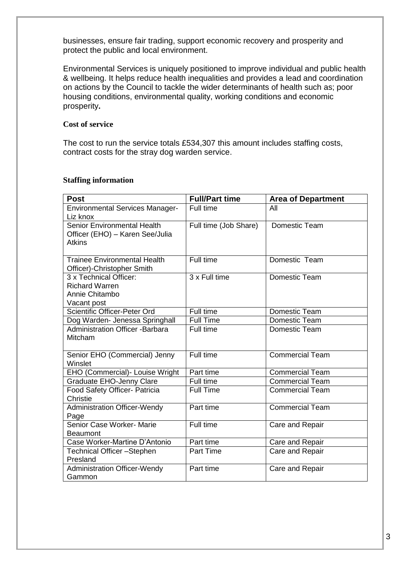businesses, ensure fair trading, support economic recovery and prosperity and protect the public and local environment.

Environmental Services is uniquely positioned to improve individual and public health & wellbeing. It helps reduce health inequalities and provides a lead and coordination on actions by the Council to tackle the wider determinants of health such as; poor housing conditions, environmental quality, working conditions and economic prosperity**.**

### **Cost of service**

The cost to run the service totals £534,307 this amount includes staffing costs, contract costs for the stray dog warden service.

#### **Staffing information**

| <b>Post</b>                                 | <b>Full/Part time</b> | <b>Area of Department</b> |
|---------------------------------------------|-----------------------|---------------------------|
| <b>Environmental Services Manager-</b>      | Full time             | All                       |
| Liz knox                                    |                       |                           |
| Senior Environmental Health                 | Full time (Job Share) | Domestic Team             |
| Officer (EHO) - Karen See/Julia             |                       |                           |
| <b>Atkins</b>                               |                       |                           |
| <b>Trainee Environmental Health</b>         | Full time             | Domestic Team             |
| Officer)-Christopher Smith                  |                       |                           |
| 3 x Technical Officer:                      | 3 x Full time         | Domestic Team             |
| <b>Richard Warren</b>                       |                       |                           |
| Annie Chitambo                              |                       |                           |
| Vacant post                                 |                       |                           |
| Scientific Officer-Peter Ord                | Full time             | Domestic Team             |
| Dog Warden- Jenessa Springhall              | <b>Full Time</b>      | Domestic Team             |
| <b>Administration Officer -Barbara</b>      | Full time             | Domestic Team             |
| <b>Mitcham</b>                              |                       |                           |
|                                             |                       |                           |
| Senior EHO (Commercial) Jenny               | Full time             | <b>Commercial Team</b>    |
| Winslet                                     |                       |                           |
| EHO (Commercial)- Louise Wright             | Part time             | <b>Commercial Team</b>    |
| <b>Graduate EHO-Jenny Clare</b>             | Full time             | <b>Commercial Team</b>    |
| Food Safety Officer- Patricia               | <b>Full Time</b>      | <b>Commercial Team</b>    |
| Christie                                    | Part time             | <b>Commercial Team</b>    |
| <b>Administration Officer-Wendy</b><br>Page |                       |                           |
| Senior Case Worker- Marie                   | Full time             | Care and Repair           |
| <b>Beaumont</b>                             |                       |                           |
| Case Worker-Martine D'Antonio               | Part time             | Care and Repair           |
| Technical Officer-Stephen                   | <b>Part Time</b>      | Care and Repair           |
| Presland                                    |                       |                           |
| <b>Administration Officer-Wendy</b>         | Part time             | Care and Repair           |
| Gammon                                      |                       |                           |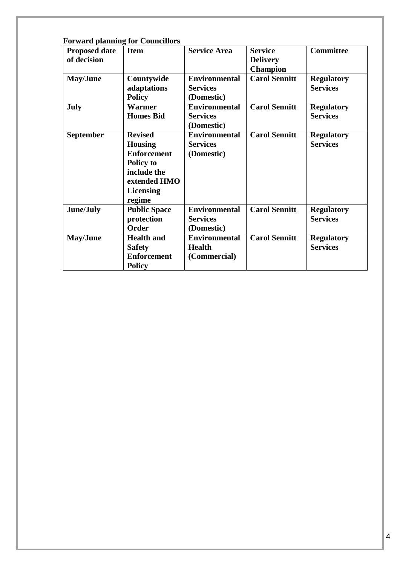| <b>Proposed date</b><br>of decision | <b>Item</b>                                                                                                                      | <b>Service Area</b>                                   | <b>Service</b><br><b>Delivery</b><br><b>Champion</b> | <b>Committee</b>                     |
|-------------------------------------|----------------------------------------------------------------------------------------------------------------------------------|-------------------------------------------------------|------------------------------------------------------|--------------------------------------|
| May/June                            | Countywide<br>adaptations<br><b>Policy</b>                                                                                       | <b>Environmental</b><br><b>Services</b><br>(Domestic) | <b>Carol Sennitt</b>                                 | <b>Regulatory</b><br><b>Services</b> |
| <b>July</b>                         | <b>Warmer</b><br><b>Homes Bid</b>                                                                                                | <b>Environmental</b><br><b>Services</b><br>(Domestic) | <b>Carol Sennitt</b>                                 | <b>Regulatory</b><br><b>Services</b> |
| <b>September</b>                    | <b>Revised</b><br><b>Housing</b><br><b>Enforcement</b><br>Policy to<br>include the<br>extended HMO<br><b>Licensing</b><br>regime | <b>Environmental</b><br><b>Services</b><br>(Domestic) | <b>Carol Sennitt</b>                                 | <b>Regulatory</b><br><b>Services</b> |
| June/July                           | <b>Public Space</b><br>protection<br>Order                                                                                       | <b>Environmental</b><br><b>Services</b><br>(Domestic) | <b>Carol Sennitt</b>                                 | <b>Regulatory</b><br><b>Services</b> |
| May/June                            | <b>Health and</b><br><b>Safety</b><br><b>Enforcement</b><br><b>Policy</b>                                                        | <b>Environmental</b><br><b>Health</b><br>(Commercial) | <b>Carol Sennitt</b>                                 | <b>Regulatory</b><br><b>Services</b> |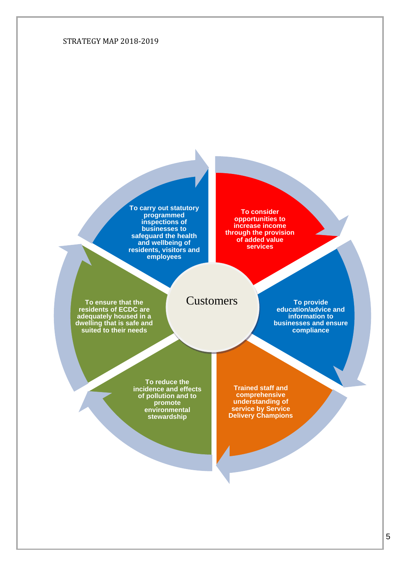#### STRATEGY MAP 2018-2019

**To carry out statutory programmed inspections of businesses to safeguard the health and wellbeing of residents, visitors and employees**

**To consider opportunities to increase income through the provision of added value services**

**To ensure that the residents of ECDC are adequately housed in a dwelling that is safe and suited to their needs**

## **Customers**

**To provide education/advice and information to businesses and ensure compliance**

**To reduce the incidence and effects of pollution and to promote environmental stewardship**

**Trained staff and comprehensive understanding of service by Service Delivery Champions**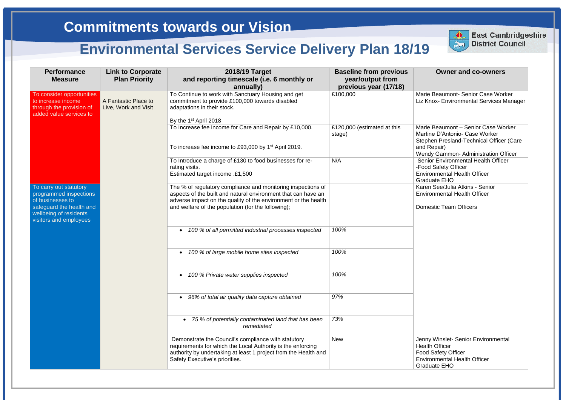e Beaumont- Senior Case Worker **Chox- Environmental Services Manager** 

e Beaumont – Senior Case Worker ine D'Antonio- Case Worker hen Presland-Technical Officer (Care Repair) dy Gammon- Administration Officer ior Environmental Health Officer d Safety Officer ronmental Health Officer duate EHO **Raren See/Julia Atkins - Senior** ronmental Health Officer

estic Team Officers

**Ny Winslet- Senior Environmental** th Officer Safety Officer ronmental Health Officer luate EHO

| <b>Performance</b><br><b>Measure</b>                                                                                                                 | <b>Link to Corporate</b><br><b>Plan Priority</b> | 2018/19 Target<br>and reporting timescale (i.e. 6 monthly or<br>annually)                                                                                                                                                                             | <b>Baseline from previous</b><br>year/output from<br>previous year (17/18) |                                        |
|------------------------------------------------------------------------------------------------------------------------------------------------------|--------------------------------------------------|-------------------------------------------------------------------------------------------------------------------------------------------------------------------------------------------------------------------------------------------------------|----------------------------------------------------------------------------|----------------------------------------|
| To consider opportunities<br>to increase income<br>through the provision of<br>added value services to                                               | A Fantastic Place to<br>Live, Work and Visit     | To Continue to work with Sanctuary Housing and get<br>commitment to provide £100,000 towards disabled<br>adaptations in their stock.                                                                                                                  | £100,000                                                                   | Mario<br>Liz K                         |
|                                                                                                                                                      |                                                  | By the 1 <sup>st</sup> April 2018<br>To Increase fee income for Care and Repair by £10,000.<br>To increase fee income to £93,000 by 1 <sup>st</sup> April 2019.                                                                                       | £120,000 (estimated at this<br>stage)                                      | Mario<br>Marti<br>Stepl<br>and I       |
|                                                                                                                                                      |                                                  | To Introduce a charge of £130 to food businesses for re-<br>rating visits.<br>Estimated target income .£1,500                                                                                                                                         | N/A                                                                        | Wen<br>Seni<br>-Foo<br>Envir           |
| To carry out statutory<br>programmed inspections<br>of businesses to<br>safeguard the health and<br>wellbeing of residents<br>visitors and employees |                                                  | The % of regulatory compliance and monitoring inspections of<br>aspects of the built and natural environment that can have an<br>adverse impact on the quality of the environment or the health<br>and welfare of the population (for the following); |                                                                            | Grad<br>Kare<br>Envir<br>Dom           |
|                                                                                                                                                      |                                                  | 100 % of all permitted industrial processes inspected<br>$\bullet$                                                                                                                                                                                    | 100%                                                                       |                                        |
|                                                                                                                                                      |                                                  | 100 % of large mobile home sites inspected<br>$\bullet$                                                                                                                                                                                               | 100%                                                                       |                                        |
|                                                                                                                                                      |                                                  | 100 % Private water supplies inspected<br>$\bullet$                                                                                                                                                                                                   | 100%                                                                       |                                        |
|                                                                                                                                                      |                                                  | 96% of total air quality data capture obtained<br>$\bullet$                                                                                                                                                                                           | 97%                                                                        |                                        |
|                                                                                                                                                      |                                                  | 75 % of potentially contaminated land that has been<br>remediated                                                                                                                                                                                     | 73%                                                                        |                                        |
|                                                                                                                                                      |                                                  | Demonstrate the Council's compliance with statutory<br>requirements for which the Local Authority is the enforcing<br>authority by undertaking at least 1 project from the Health and<br>Safety Executive's priorities.                               | <b>New</b>                                                                 | Jenn<br>Healt<br>Food<br>Envir<br>Grad |



**East Cambridgeshire** District Council

**East Cambridgeshire District Council**

## **Commitments towards our Vision**

# **Environmental Services Service Delivery Plan 18/19**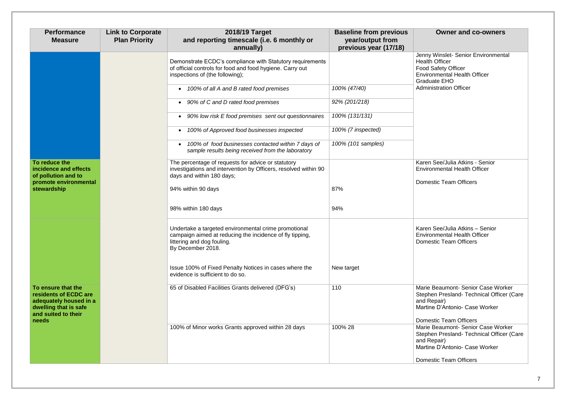ny Winslet- Senior Environmental alth Officer Food Safety Officer Environmental Health Officer duate EHO *100% of all A and B rated food premises 100% (47/40)* Administration Officer

### en See/Julia Atkins - Senior ironmental Health Officer

nestic Team Officers

en See/Julia Atkins – Senior ironmental Health Officer nestic Team Officers

rie Beaumont- Senior Case Worker phen Presland- Technical Officer (Care Repair) tine D'Antonio- Case Worker

nestic Team Officers ie Beaumont- Senior Case Worker phen Presland- Technical Officer (Care Repair) tine D'Antonio- Case Worker

nestic Team Officers

| <b>Performance</b><br><b>Measure</b>                                                                                  | <b>Link to Corporate</b><br><b>Plan Priority</b> | 2018/19 Target<br>and reporting timescale (i.e. 6 monthly or<br>annually)                                                                                                | <b>Baseline from previous</b><br>year/output from<br>previous year (17/18) |                                           |
|-----------------------------------------------------------------------------------------------------------------------|--------------------------------------------------|--------------------------------------------------------------------------------------------------------------------------------------------------------------------------|----------------------------------------------------------------------------|-------------------------------------------|
|                                                                                                                       |                                                  | Demonstrate ECDC's compliance with Statutory requirements<br>of official controls for food and food hygiene. Carry out<br>inspections of (the following);                |                                                                            | Jenr<br>Heal<br>Food<br>Envi<br>Grac      |
|                                                                                                                       |                                                  | 100% of all A and B rated food premises<br>$\bullet$                                                                                                                     | 100% (47/40)                                                               | Adm                                       |
|                                                                                                                       |                                                  | 90% of C and D rated food premises<br>$\bullet$                                                                                                                          | 92% (201/218)                                                              |                                           |
|                                                                                                                       |                                                  | 90% low risk E food premises sent out questionnaires<br>$\bullet$                                                                                                        | 100% (131/131)                                                             |                                           |
|                                                                                                                       |                                                  | 100% of Approved food businesses inspected<br>$\bullet$                                                                                                                  | 100% (7 inspected)                                                         |                                           |
|                                                                                                                       |                                                  | 100% of food businesses contacted within 7 days of<br>$\bullet$<br>sample results being received from the laboratory                                                     | 100% (101 samples)                                                         |                                           |
| To reduce the<br>incidence and effects<br>of pollution and to<br>promote environmental<br>stewardship                 |                                                  | The percentage of requests for advice or statutory<br>investigations and intervention by Officers, resolved within 90<br>days and within 180 days;<br>94% within 90 days | 87%                                                                        | Kare<br>Envil<br>Dom                      |
|                                                                                                                       |                                                  | 98% within 180 days                                                                                                                                                      | 94%                                                                        |                                           |
|                                                                                                                       |                                                  | Undertake a targeted environmental crime promotional<br>campaign aimed at reducing the incidence of fly tipping,<br>littering and dog fouling.<br>By December 2018.      |                                                                            | Kare<br>Envi<br>Dom                       |
|                                                                                                                       |                                                  | Issue 100% of Fixed Penalty Notices in cases where the<br>evidence is sufficient to do so.                                                                               | New target                                                                 |                                           |
| To ensure that the<br>residents of ECDC are<br>adequately housed in a<br>dwelling that is safe<br>and suited to their |                                                  | 65 of Disabled Facilities Grants delivered (DFG's)                                                                                                                       | 110                                                                        | Mari<br><b>Step</b><br>and<br>Mart        |
| needs                                                                                                                 |                                                  | 100% of Minor works Grants approved within 28 days                                                                                                                       | 100% 28                                                                    | Dom<br>Mari<br><b>Step</b><br>and<br>Mart |
|                                                                                                                       |                                                  |                                                                                                                                                                          |                                                                            | Dom                                       |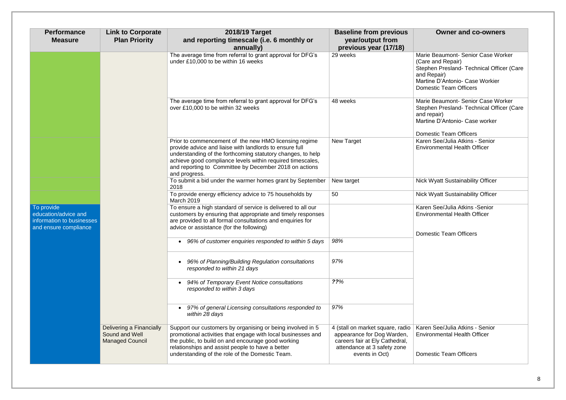rie Beaumont- Senior Case Worker re and Repair) phen Presland- Technical Officer (Care Repair) tine D'Antonio- Case Workier nestic Team Officers

rie Beaumont- Senior Case Worker phen Presland- Technical Officer (Care  $repair)$ tine D'Antonio- Case worker

nestic Team Officers en See/Julia Atkins - Senior ironmental Health Officer

Wyatt Sustainability Officer

Wyatt Sustainability Officer

en See/Julia Atkins -Senior ironmental Health Officer

nestic Team Officers

en See/Julia Atkins - Senior ironmental Health Officer

nestic Team Officers

| <b>Performance</b><br><b>Measure</b>                                                     | <b>Link to Corporate</b><br><b>Plan Priority</b>                     | 2018/19 Target<br>and reporting timescale (i.e. 6 monthly or<br>annually)                                                                                                                                                                                                                                                | <b>Baseline from previous</b><br>year/output from<br>previous year (17/18)                                                                        |                                                   |
|------------------------------------------------------------------------------------------|----------------------------------------------------------------------|--------------------------------------------------------------------------------------------------------------------------------------------------------------------------------------------------------------------------------------------------------------------------------------------------------------------------|---------------------------------------------------------------------------------------------------------------------------------------------------|---------------------------------------------------|
|                                                                                          |                                                                      | The average time from referral to grant approval for DFG's<br>under £10,000 to be within 16 weeks                                                                                                                                                                                                                        | 29 weeks                                                                                                                                          | Mari<br>(Car<br><b>Step</b><br>and<br>Mart<br>Dom |
|                                                                                          |                                                                      | The average time from referral to grant approval for DFG's<br>over £10,000 to be within 32 weeks                                                                                                                                                                                                                         | 48 weeks                                                                                                                                          | Mari<br><b>Step</b><br>and<br>Mart<br>Dom         |
|                                                                                          |                                                                      | Prior to commencement of the new HMO licensing regime<br>provide advice and liaise with landlords to ensure full<br>understanding of the forthcoming statutory changes, to help<br>achieve good compliance levels within required timescales,<br>and reporting to Committee by December 2018 on actions<br>and progress. | <b>New Target</b>                                                                                                                                 | Kare<br>Envi                                      |
|                                                                                          |                                                                      | To submit a bid under the warmer homes grant by September<br>2018                                                                                                                                                                                                                                                        | New target                                                                                                                                        | <b>Nick</b>                                       |
|                                                                                          |                                                                      | To provide energy efficiency advice to 75 households by<br><b>March 2019</b>                                                                                                                                                                                                                                             | 50                                                                                                                                                | <b>Nick</b>                                       |
| To provide<br>education/advice and<br>information to businesses<br>and ensure compliance |                                                                      | To ensure a high standard of service is delivered to all our<br>customers by ensuring that appropriate and timely responses<br>are provided to all formal consultations and enquiries for<br>advice or assistance (for the following)                                                                                    |                                                                                                                                                   | Kare<br>Envi<br>Dom                               |
|                                                                                          |                                                                      | 96% of customer enquiries responded to within 5 days                                                                                                                                                                                                                                                                     | 98%                                                                                                                                               |                                                   |
|                                                                                          |                                                                      | 96% of Planning/Building Regulation consultations<br>responded to within 21 days                                                                                                                                                                                                                                         | 97%                                                                                                                                               |                                                   |
|                                                                                          |                                                                      | 94% of Temporary Event Notice consultations<br>responded to within 3 days                                                                                                                                                                                                                                                | ??%                                                                                                                                               |                                                   |
|                                                                                          |                                                                      | 97% of general Licensing consultations responded to<br>within 28 days                                                                                                                                                                                                                                                    | 97%                                                                                                                                               |                                                   |
|                                                                                          | Delivering a Financially<br>Sound and Well<br><b>Managed Council</b> | Support our customers by organising or being involved in 5<br>promotional activities that engage with local businesses and<br>the public, to build on and encourage good working<br>relationships and assist people to have a better<br>understanding of the role of the Domestic Team.                                  | 4 (stall on market square, radio<br>appearance for Dog Warden,<br>careers fair at Ely Cathedral,<br>attendance at 3 safety zone<br>events in Oct) | Kare<br>Envi<br>Dom                               |